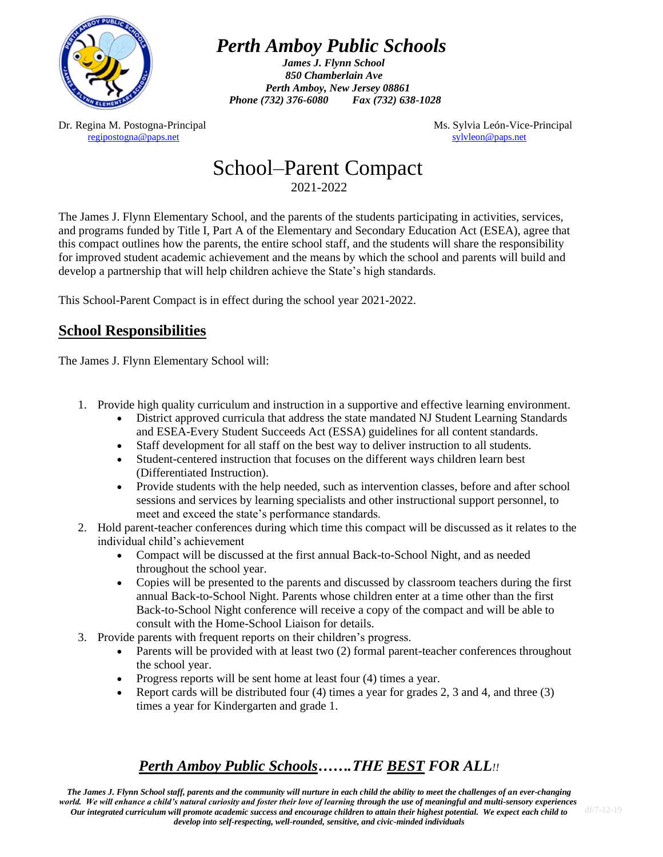

# *Perth Amboy Public Schools*

*James J. Flynn School 850 Chamberlain Ave Perth Amboy, New Jersey 08861 Phone (732) 376-6080 Fax (732) 638-1028*

Dr. Regina M. Postogna-Principal and Ms. Sylvia León-Vice-Principal Ms. Sylvia León-Vice-Principal [regipostogna@paps.net](mailto:regipostogna@paps.net) [sylvleon@paps.net](mailto:sylvleon@paps.net)

### School–Parent Compact 2021-2022

The James J. Flynn Elementary School, and the parents of the students participating in activities, services, and programs funded by Title I, Part A of the Elementary and Secondary Education Act (ESEA), agree that this compact outlines how the parents, the entire school staff, and the students will share the responsibility for improved student academic achievement and the means by which the school and parents will build and develop a partnership that will help children achieve the State's high standards.

This School-Parent Compact is in effect during the school year 2021-2022.

#### **School Responsibilities**

The James J. Flynn Elementary School will:

- 1. Provide high quality curriculum and instruction in a supportive and effective learning environment.
	- District approved curricula that address the state mandated NJ Student Learning Standards and ESEA-Every Student Succeeds Act (ESSA) guidelines for all content standards.
	- Staff development for all staff on the best way to deliver instruction to all students.
	- Student-centered instruction that focuses on the different ways children learn best (Differentiated Instruction).
	- Provide students with the help needed, such as intervention classes, before and after school sessions and services by learning specialists and other instructional support personnel, to meet and exceed the state's performance standards.
- 2. Hold parent-teacher conferences during which time this compact will be discussed as it relates to the individual child's achievement
	- Compact will be discussed at the first annual Back-to-School Night, and as needed throughout the school year.
	- Copies will be presented to the parents and discussed by classroom teachers during the first annual Back-to-School Night. Parents whose children enter at a time other than the first Back-to-School Night conference will receive a copy of the compact and will be able to consult with the Home-School Liaison for details.
- 3. Provide parents with frequent reports on their children's progress.
	- Parents will be provided with at least two (2) formal parent-teacher conferences throughout the school year.
	- Progress reports will be sent home at least four (4) times a year.
	- Report cards will be distributed four (4) times a year for grades 2, 3 and 4, and three (3) times a year for Kindergarten and grade 1.

### *Perth Amboy Public Schools…….THE BEST FOR ALL!!*

*The James J. Flynn School staff, parents and the community will nurture in each child the ability to meet the challenges of an ever-changing world. We will enhance a child's natural curiosity and foster their love of learning through the use of meaningful and multi-sensory experiences. Our integrated curriculum will promote academic success and encourage children to attain their highest potential. We expect each child to develop into self-respecting, well-rounded, sensitive, and civic-minded individuals*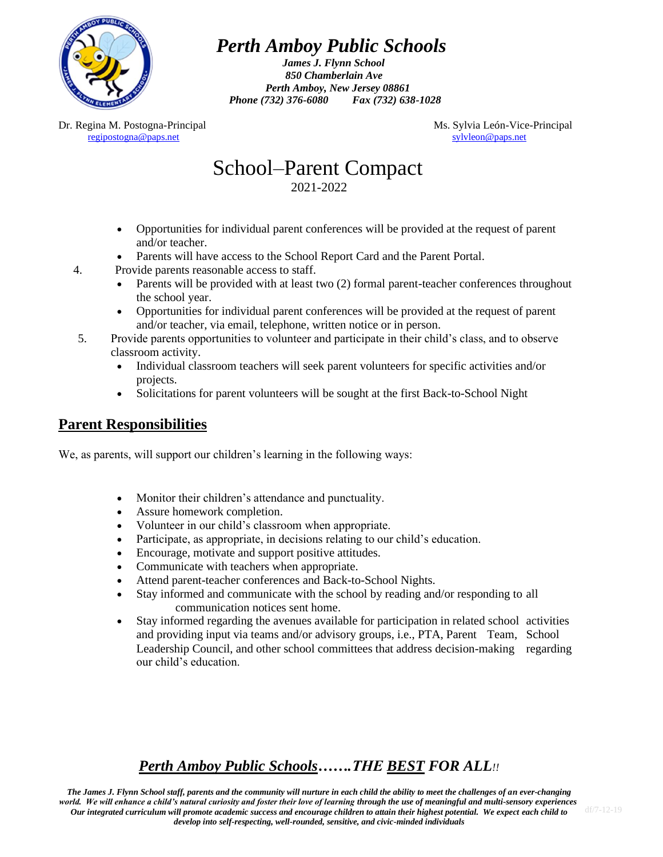

# *Perth Amboy Public Schools*

*James J. Flynn School 850 Chamberlain Ave Perth Amboy, New Jersey 08861 Phone (732) 376-6080 Fax (732) 638-1028*

Dr. Regina M. Postogna-Principal and Ms. Sylvia León-Vice-Principal Ms. Sylvia León-Vice-Principal [regipostogna@paps.net](mailto:regipostogna@paps.net) [sylvleon@paps.net](mailto:sylvleon@paps.net)

### School–Parent Compact 2021-2022

- Opportunities for individual parent conferences will be provided at the request of parent and/or teacher.
- Parents will have access to the School Report Card and the Parent Portal.
- 4. Provide parents reasonable access to staff.
	- Parents will be provided with at least two (2) formal parent-teacher conferences throughout the school year.
	- Opportunities for individual parent conferences will be provided at the request of parent and/or teacher, via email, telephone, written notice or in person.
- 5. Provide parents opportunities to volunteer and participate in their child's class, and to observe classroom activity.
	- Individual classroom teachers will seek parent volunteers for specific activities and/or projects.
	- Solicitations for parent volunteers will be sought at the first Back-to-School Night

#### **Parent Responsibilities**

We, as parents, will support our children's learning in the following ways:

- Monitor their children's attendance and punctuality.
- Assure homework completion.
- Volunteer in our child's classroom when appropriate.
- Participate, as appropriate, in decisions relating to our child's education.
- Encourage, motivate and support positive attitudes.
- Communicate with teachers when appropriate.
- Attend parent-teacher conferences and Back-to-School Nights.
- Stay informed and communicate with the school by reading and/or responding to all communication notices sent home.
- Stay informed regarding the avenues available for participation in related school activities and providing input via teams and/or advisory groups, i.e., PTA, Parent Team, School Leadership Council, and other school committees that address decision-making regarding our child's education.

### *Perth Amboy Public Schools…….THE BEST FOR ALL!!*